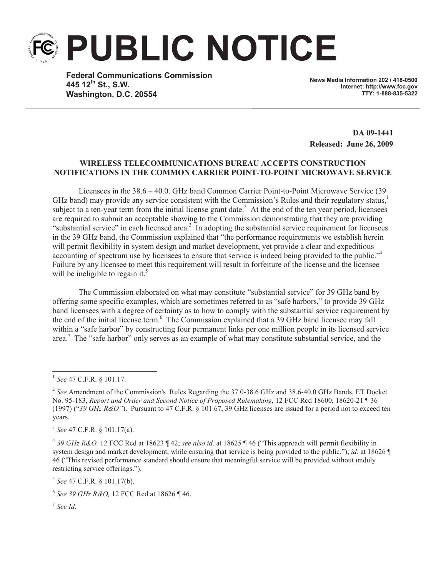**PUBLIC NOTICE**

**Federal Communications Commission 445 12th St., S.W. Washington, D.C. 20554**

**News Media Information 202 / 418-0500 Internet: http://www.fcc.gov TTY: 1-888-835-5322**

**DA 09-1441 Released: June 26, 2009**

## **WIRELESS TELECOMMUNICATIONS BUREAU ACCEPTS CONSTRUCTION NOTIFICATIONS IN THE COMMON CARRIER POINT-TO-POINT MICROWAVE SERVICE**

Licensees in the 38.6 – 40.0. GHz band Common Carrier Point-to-Point Microwave Service (39 GHz band) may provide any service consistent with the Commission's Rules and their regulatory status, $\frac{1}{1}$ subject to a ten-year term from the initial license grant date.<sup>2</sup> At the end of the ten year period, licensees are required to submit an acceptable showing to the Commission demonstrating that they are providing "substantial service" in each licensed area.<sup>3</sup> In adopting the substantial service requirement for licensees in the 39 GHz band, the Commission explained that "the performance requirements we establish herein will permit flexibility in system design and market development, yet provide a clear and expeditious accounting of spectrum use by licensees to ensure that service is indeed being provided to the public."<sup>4</sup> Failure by any licensee to meet this requirement will result in forfeiture of the license and the licensee will be ineligible to regain it.<sup>5</sup>

The Commission elaborated on what may constitute "substantial service" for 39 GHz band by offering some specific examples, which are sometimes referred to as "safe harbors," to provide 39 GHz band licensees with a degree of certainty as to how to comply with the substantial service requirement by the end of the initial license term.<sup>6</sup> The Commission explained that a 39 GHz band licensee may fall within a "safe harbor" by constructing four permanent links per one million people in its licensed service area.<sup>7</sup> The "safe harbor" only serves as an example of what may constitute substantial service, and the

5 *See* 47 C.F.R. § 101.17(b).

7 *See Id*.

<sup>1</sup> *See* 47 C.F.R. § 101.17.

<sup>2</sup> *See* Amendment of the Commission's Rules Regarding the 37.0-38.6 GHz and 38.6-40.0 GHz Bands, ET Docket No. 95-183, *Report and Order and Second Notice of Proposed Rulemaking*, 12 FCC Rcd 18600, 18620-21 ¶ 36 (1997) ("*39 GHz R&O"*). Pursuant to 47 C.F.R. § 101.67, 39 GHz licenses are issued for a period not to exceed ten years.

<sup>3</sup> *See* 47 C.F.R. § 101.17(a).

<sup>4</sup> *39 GHz R&O,* 12 FCC Rcd at 18623 ¶ 42; *see also id.* at 18625 ¶ 46 ("This approach will permit flexibility in system design and market development, while ensuring that service is being provided to the public."); *id.* at 18626 ¶ 46 ("This revised performance standard should ensure that meaningful service will be provided without unduly restricting service offerings.").

<sup>6</sup> *See 39 GHz R&O,* 12 FCC Rcd at 18626 ¶ 46.